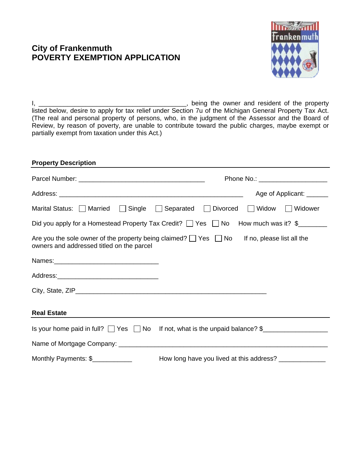# **City of Frankenmuth POVERTY EXEMPTION APPLICATION**



I, \_\_\_\_\_\_\_\_\_\_\_\_\_\_\_\_\_\_\_\_\_\_\_\_\_\_\_\_\_\_\_\_\_\_\_\_\_\_\_\_\_, being the owner and resident of the property listed below, desire to apply for tax relief under Section 7u of the Michigan General Property Tax Act. (The real and personal property of persons, who, in the judgment of the Assessor and the Board of Review, by reason of poverty, are unable to contribute toward the public charges, maybe exempt or partially exempt from taxation under this Act.)

| <b>Property Description</b>               |                                                                                                        |
|-------------------------------------------|--------------------------------------------------------------------------------------------------------|
|                                           | Phone No.: _________________________                                                                   |
|                                           | Age of Applicant: _______                                                                              |
| Marital Status:   Married                 | $\Box$ Widow<br>Single Separated Divorced<br><b>Widower</b>                                            |
|                                           | Did you apply for a Homestead Property Tax Credit? $\Box$ Yes $\Box$ No How much was it? $\frac{1}{2}$ |
| owners and addressed titled on the parcel | Are you the sole owner of the property being claimed? $\Box$ Yes $\Box$ No If no, please list all the  |
|                                           |                                                                                                        |
|                                           |                                                                                                        |
|                                           |                                                                                                        |
| <b>Real Estate</b>                        |                                                                                                        |
|                                           | Is your home paid in full? $\Box$ Yes $\Box$ No If not, what is the unpaid balance? $\frac{1}{2}$      |
|                                           |                                                                                                        |
| Monthly Payments: \$____________          | How long have you lived at this address? ______________                                                |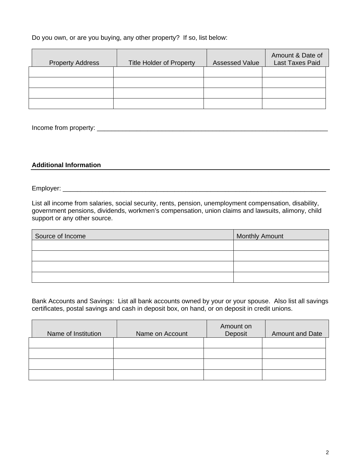Do you own, or are you buying, any other property? If so, list below:

| <b>Property Address</b> | <b>Title Holder of Property</b> | <b>Assessed Value</b> | Amount & Date of<br><b>Last Taxes Paid</b> |
|-------------------------|---------------------------------|-----------------------|--------------------------------------------|
|                         |                                 |                       |                                            |
|                         |                                 |                       |                                            |
|                         |                                 |                       |                                            |
|                         |                                 |                       |                                            |

Income from property: \_\_\_\_\_\_\_\_\_\_\_\_\_\_\_\_\_\_\_\_\_\_\_\_\_\_\_\_\_\_\_\_\_\_\_\_\_\_\_\_\_\_\_\_\_\_\_\_\_\_\_\_\_\_\_\_\_\_\_\_\_\_\_\_

#### **Additional Information**

Employer: \_\_\_\_\_\_\_\_\_\_\_\_\_\_\_\_\_\_\_\_\_\_\_\_\_\_\_\_\_\_\_\_\_\_\_\_\_\_\_\_\_\_\_\_\_\_\_\_\_\_\_\_\_\_\_\_\_\_\_\_\_\_\_\_\_\_\_\_\_\_\_\_\_

List all income from salaries, social security, rents, pension, unemployment compensation, disability, government pensions, dividends, workmen's compensation, union claims and lawsuits, alimony, child support or any other source.

| Source of Income | <b>Monthly Amount</b> |
|------------------|-----------------------|
|                  |                       |
|                  |                       |
|                  |                       |
|                  |                       |

Bank Accounts and Savings: List all bank accounts owned by your or your spouse. Also list all savings certificates, postal savings and cash in deposit box, on hand, or on deposit in credit unions.

| Name of Institution | Name on Account | Amount on<br>Deposit | <b>Amount and Date</b> |
|---------------------|-----------------|----------------------|------------------------|
|                     |                 |                      |                        |
|                     |                 |                      |                        |
|                     |                 |                      |                        |
|                     |                 |                      |                        |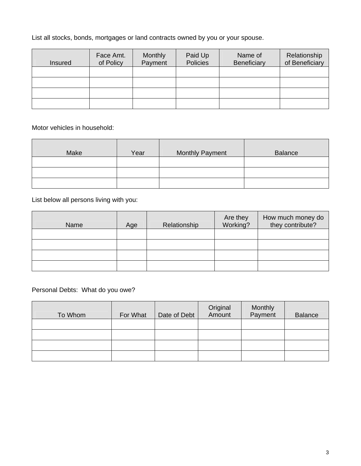List all stocks, bonds, mortgages or land contracts owned by you or your spouse.

| <b>Insured</b> | Face Amt.<br>of Policy | <b>Monthly</b><br>Payment | Paid Up<br><b>Policies</b> | Name of<br><b>Beneficiary</b> | Relationship<br>of Beneficiary |
|----------------|------------------------|---------------------------|----------------------------|-------------------------------|--------------------------------|
|                |                        |                           |                            |                               |                                |
|                |                        |                           |                            |                               |                                |
|                |                        |                           |                            |                               |                                |
|                |                        |                           |                            |                               |                                |

Motor vehicles in household:

| Make | Year | <b>Monthly Payment</b> | <b>Balance</b> |
|------|------|------------------------|----------------|
|      |      |                        |                |
|      |      |                        |                |
|      |      |                        |                |

List below all persons living with you:

| Name | Age | Relationship | Are they<br>Working? | How much money do<br>they contribute? |
|------|-----|--------------|----------------------|---------------------------------------|
|      |     |              |                      |                                       |
|      |     |              |                      |                                       |
|      |     |              |                      |                                       |
|      |     |              |                      |                                       |

Personal Debts: What do you owe?

| To Whom | For What | Date of Debt | Original<br>Amount | Monthly<br>Payment | <b>Balance</b> |
|---------|----------|--------------|--------------------|--------------------|----------------|
|         |          |              |                    |                    |                |
|         |          |              |                    |                    |                |
|         |          |              |                    |                    |                |
|         |          |              |                    |                    |                |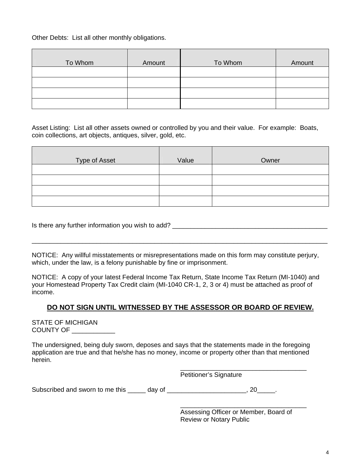Other Debts: List all other monthly obligations.

| To Whom | Amount | To Whom | Amount |
|---------|--------|---------|--------|
|         |        |         |        |
|         |        |         |        |
|         |        |         |        |
|         |        |         |        |

Asset Listing: List all other assets owned or controlled by you and their value. For example: Boats, coin collections, art objects, antiques, silver, gold, etc.

| Type of Asset | Value | Owner |
|---------------|-------|-------|
|               |       |       |
|               |       |       |
|               |       |       |
|               |       |       |

Is there any further information you wish to add? \_\_\_\_\_\_\_\_\_\_\_\_\_\_\_\_\_\_\_\_\_\_\_\_\_\_\_\_\_\_\_\_\_\_\_\_\_\_\_\_\_\_\_

NOTICE: Any willful misstatements or misrepresentations made on this form may constitute perjury, which, under the law, is a felony punishable by fine or imprisonment.

\_\_\_\_\_\_\_\_\_\_\_\_\_\_\_\_\_\_\_\_\_\_\_\_\_\_\_\_\_\_\_\_\_\_\_\_\_\_\_\_\_\_\_\_\_\_\_\_\_\_\_\_\_\_\_\_\_\_\_\_\_\_\_\_\_\_\_\_\_\_\_\_\_\_\_\_\_\_\_\_\_\_

NOTICE: A copy of your latest Federal Income Tax Return, State Income Tax Return (MI-1040) and your Homestead Property Tax Credit claim (MI-1040 CR-1, 2, 3 or 4) must be attached as proof of income.

### **DO NOT SIGN UNTIL WITNESSED BY THE ASSESSOR OR BOARD OF REVIEW.**

STATE OF MICHIGAN COUNTY OF \_\_\_\_\_\_\_\_\_\_\_\_

The undersigned, being duly sworn, deposes and says that the statements made in the foregoing application are true and that he/she has no money, income or property other than that mentioned herein.

 $\overline{\phantom{a}}$  , and the contract of the contract of the contract of the contract of the contract of the contract of the contract of the contract of the contract of the contract of the contract of the contract of the contrac

Subscribed and sworn to me this \_\_\_\_\_ day of \_\_\_\_\_\_\_\_\_\_\_\_\_\_\_\_\_\_\_\_\_, 20\_\_\_\_\_.

 Assessing Officer or Member, Board of Review or Notary Public

\_\_\_\_\_\_\_\_\_\_\_\_\_\_\_\_\_\_\_\_\_\_\_\_\_\_\_\_\_\_\_\_\_\_\_

Petitioner's Signature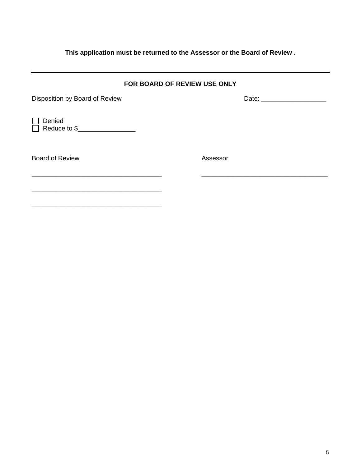## **This application must be returned to the Assessor or the Board of Review .**

| FOR BOARD OF REVIEW USE ONLY                            |                                                                                                                                                                                                                                |  |  |  |
|---------------------------------------------------------|--------------------------------------------------------------------------------------------------------------------------------------------------------------------------------------------------------------------------------|--|--|--|
| Disposition by Board of Review                          | Date: the contract of the contract of the contract of the contract of the contract of the contract of the contract of the contract of the contract of the contract of the contract of the contract of the contract of the cont |  |  |  |
| Denied<br>$\Box$ Reduce to $\$\underline{\hspace{2cm}}$ |                                                                                                                                                                                                                                |  |  |  |
| <b>Board of Review</b>                                  | Assessor                                                                                                                                                                                                                       |  |  |  |
|                                                         |                                                                                                                                                                                                                                |  |  |  |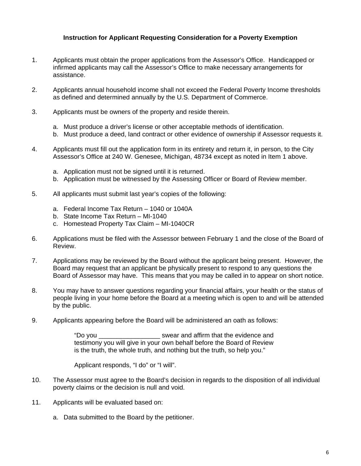### **Instruction for Applicant Requesting Consideration for a Poverty Exemption**

- 1. Applicants must obtain the proper applications from the Assessor's Office. Handicapped or infirmed applicants may call the Assessor's Office to make necessary arrangements for assistance.
- 2. Applicants annual household income shall not exceed the Federal Poverty Income thresholds as defined and determined annually by the U.S. Department of Commerce.
- 3. Applicants must be owners of the property and reside therein.
	- a. Must produce a driver's license or other acceptable methods of identification.
	- b. Must produce a deed, land contract or other evidence of ownership if Assessor requests it.
- 4. Applicants must fill out the application form in its entirety and return it, in person, to the City Assessor's Office at 240 W. Genesee, Michigan, 48734 except as noted in Item 1 above.
	- a. Application must not be signed until it is returned.
	- b. Application must be witnessed by the Assessing Officer or Board of Review member.
- 5. All applicants must submit last year's copies of the following:
	- a. Federal Income Tax Return 1040 or 1040A
	- b. State Income Tax Return MI-1040
	- c. Homestead Property Tax Claim MI-1040CR
- 6. Applications must be filed with the Assessor between February 1 and the close of the Board of Review.
- 7. Applications may be reviewed by the Board without the applicant being present. However, the Board may request that an applicant be physically present to respond to any questions the Board of Assessor may have. This means that you may be called in to appear on short notice.
- 8. You may have to answer questions regarding your financial affairs, your health or the status of people living in your home before the Board at a meeting which is open to and will be attended by the public.
- 9. Applicants appearing before the Board will be administered an oath as follows:

"Do you \_\_\_\_\_\_\_\_\_\_\_\_\_\_\_\_\_ swear and affirm that the evidence and testimony you will give in your own behalf before the Board of Review is the truth, the whole truth, and nothing but the truth, so help you."

Applicant responds, "I do" or "I will".

- 10. The Assessor must agree to the Board's decision in regards to the disposition of all individual poverty claims or the decision is null and void.
- 11. Applicants will be evaluated based on:
	- a. Data submitted to the Board by the petitioner.